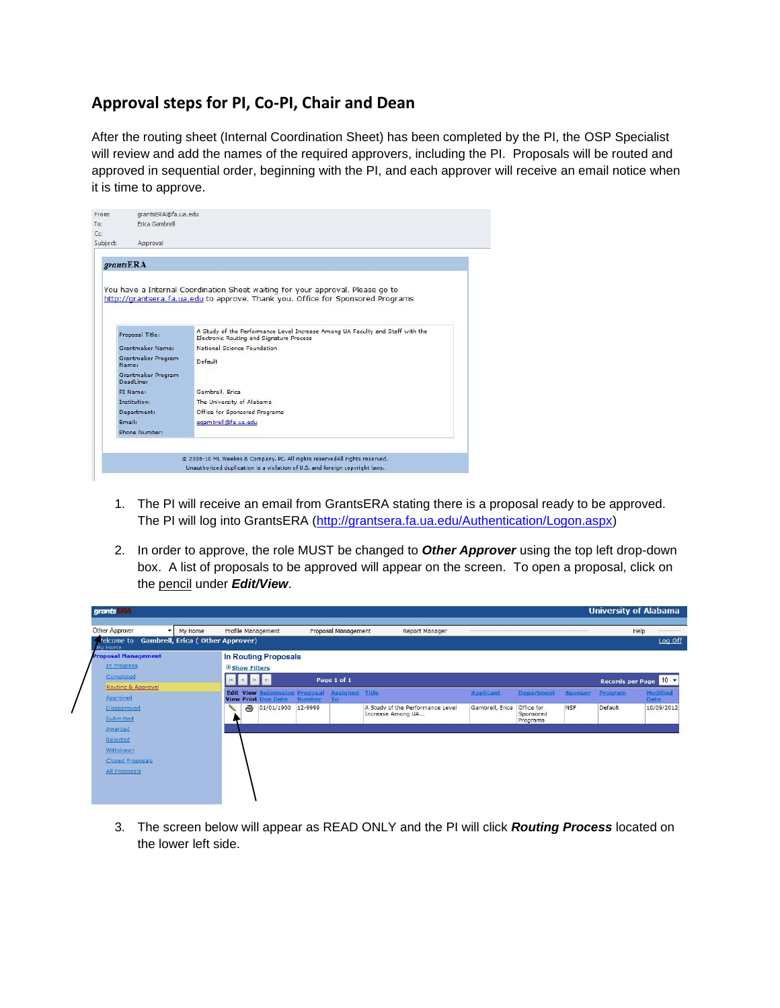## **Approval steps for PI, Co-PI, Chair and Dean**

After the routing sheet (Internal Coordination Sheet) has been completed by the PI, the OSP Specialist will review and add the names of the required approvers, including the PI. Proposals will be routed and approved in sequential order, beginning with the PI, and each approver will receive an email notice when it is time to approve.



 $\overline{\mathbf{r}}$ 

- 1. The PI will receive an email from GrantsERA stating there is a proposal ready to be approved. The PI will log into GrantsERA [\(http://grantsera.fa.ua.edu/Authentication/Logon.aspx\)](http://grantsera.fa.ua.edu/Authentication/Logon.aspx)
- 2. In order to approve, the role MUST be changed to *Other Approver* using the top left drop-down box. A list of proposals to be approved will appear on the screen. To open a proposal, click on the pencil under *Edit/View*.

| grants RA                                              |                                                               |                                                     |                                  |                  |                       |            | <b>University of Alabama</b> |                    |
|--------------------------------------------------------|---------------------------------------------------------------|-----------------------------------------------------|----------------------------------|------------------|-----------------------|------------|------------------------------|--------------------|
| Other Approver<br>My Home<br>$\checkmark$              | Profile Management                                            | Proposal Management                                 | Report Manager                   |                  |                       |            |                              | Help               |
| (elcome to Gambrell, Erica (Other Approver)<br>My Home |                                                               |                                                     |                                  |                  |                       |            |                              | Log Off            |
| <b>Proposal Management</b>                             | <b>In Routing Proposals</b>                                   |                                                     |                                  |                  |                       |            |                              |                    |
| In Progress                                            | <b>B</b> Show Filters                                         |                                                     |                                  |                  |                       |            |                              |                    |
| Completed                                              |                                                               | Page 1 of 1                                         |                                  |                  |                       |            | Records per Page 10          |                    |
| Routing & Approval                                     |                                                               | <b>Edit View Submission Proposal Assigned Title</b> |                                  | <b>Applicant</b> | Department            | Sponsor    | Program                      | Modified           |
| Approved<br>Disapproved                                | <b>View Print Due Date</b><br>$\triangleq$<br>01/01/1900<br>╰ | <b>Number</b><br>To<br>12-9999                      | A Study of the Performance Level | Gambrell, Erica  | Office for            | <b>NSF</b> | Default                      | Date<br>10/09/2012 |
| Submitted                                              |                                                               |                                                     | Increase Among UA                |                  | Sponsored<br>Programs |            |                              |                    |
| Awarded                                                |                                                               |                                                     |                                  |                  |                       |            |                              |                    |
| Rejected                                               |                                                               |                                                     |                                  |                  |                       |            |                              |                    |
| Withdrawn                                              |                                                               |                                                     |                                  |                  |                       |            |                              |                    |
| <b>Closed Proposals</b>                                |                                                               |                                                     |                                  |                  |                       |            |                              |                    |
| All Proposals                                          |                                                               |                                                     |                                  |                  |                       |            |                              |                    |
|                                                        |                                                               |                                                     |                                  |                  |                       |            |                              |                    |
|                                                        |                                                               |                                                     |                                  |                  |                       |            |                              |                    |

3. The screen below will appear as READ ONLY and the PI will click *Routing Process* located on the lower left side.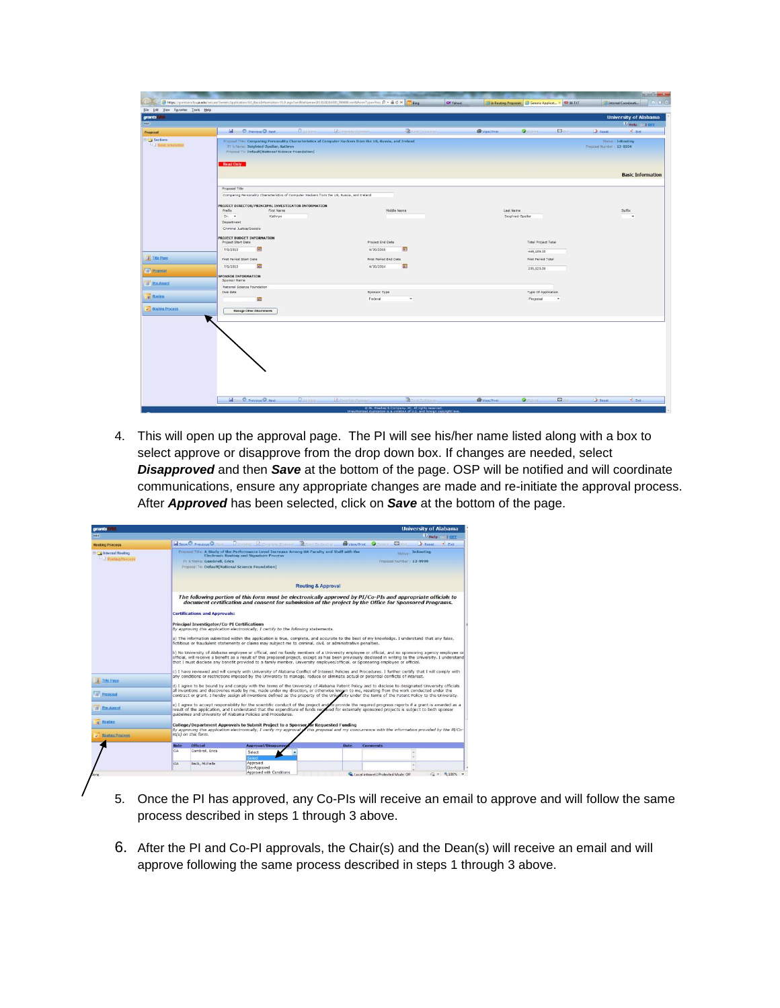| HIDE<br>Proposal<br>Sections<br><b>LOO BASICH</b><br><b>Read Only</b><br>Proposal Title<br>Prefix<br>Dr. *<br>Department | <b>B</b> .validate<br><b>DE Previous D Next</b><br>Proposal Title: Comparing Personality Characteristics of Computer Hackers from the US, Russia, and Treland<br>PI's Name: Seigfried-Spellar, Kathryn<br>Proposal To: Default[National Science Foundation]<br>Comparing Personality Characteristics of Computer Hackers from the US, Russia, and Ireland<br>PROJECT DIRECTOR/PRINCIPAL INVESTIGATOR INFORMATION<br><b>First Name</b><br>Kathryn<br>Criminal Justice/Sociolo | Complete Europe<br><b>Z</b> Sendalo Resting<br>Middle Name | View/Print<br>$\square$<br>ø.<br>Last Name | V Help cal orr<br>Reset<br>$P$ PKH<br>Status : InRouting<br>Proposal Number : 13-0204<br><b>Basic Information</b> |
|--------------------------------------------------------------------------------------------------------------------------|------------------------------------------------------------------------------------------------------------------------------------------------------------------------------------------------------------------------------------------------------------------------------------------------------------------------------------------------------------------------------------------------------------------------------------------------------------------------------|------------------------------------------------------------|--------------------------------------------|-------------------------------------------------------------------------------------------------------------------|
|                                                                                                                          |                                                                                                                                                                                                                                                                                                                                                                                                                                                                              |                                                            |                                            |                                                                                                                   |
|                                                                                                                          |                                                                                                                                                                                                                                                                                                                                                                                                                                                                              |                                                            |                                            |                                                                                                                   |
|                                                                                                                          |                                                                                                                                                                                                                                                                                                                                                                                                                                                                              |                                                            |                                            |                                                                                                                   |
|                                                                                                                          |                                                                                                                                                                                                                                                                                                                                                                                                                                                                              |                                                            |                                            |                                                                                                                   |
|                                                                                                                          |                                                                                                                                                                                                                                                                                                                                                                                                                                                                              |                                                            |                                            |                                                                                                                   |
|                                                                                                                          |                                                                                                                                                                                                                                                                                                                                                                                                                                                                              |                                                            |                                            |                                                                                                                   |
|                                                                                                                          |                                                                                                                                                                                                                                                                                                                                                                                                                                                                              |                                                            | Seigfried-Spellar                          | Suffix<br>$\overline{\phantom{a}}$                                                                                |
|                                                                                                                          |                                                                                                                                                                                                                                                                                                                                                                                                                                                                              |                                                            |                                            |                                                                                                                   |
|                                                                                                                          |                                                                                                                                                                                                                                                                                                                                                                                                                                                                              |                                                            |                                            |                                                                                                                   |
|                                                                                                                          | PROJECT BUDGET INFORMATION<br>Project Start Date                                                                                                                                                                                                                                                                                                                                                                                                                             | Project End Date                                           | <b>Total Project Total</b>                 |                                                                                                                   |
| 7/1/2013                                                                                                                 | 四                                                                                                                                                                                                                                                                                                                                                                                                                                                                            | $\overline{a}$<br>6/30/2015                                |                                            |                                                                                                                   |
| A Title Page                                                                                                             |                                                                                                                                                                                                                                                                                                                                                                                                                                                                              |                                                            | 449,189.00                                 |                                                                                                                   |
|                                                                                                                          | First Period Start Date                                                                                                                                                                                                                                                                                                                                                                                                                                                      | First Period End Date                                      | First Period Total                         |                                                                                                                   |
| 7/1/2013<br>Proposal                                                                                                     | 硼                                                                                                                                                                                                                                                                                                                                                                                                                                                                            | 霉<br>6/30/2014                                             | 235,123.00                                 |                                                                                                                   |
|                                                                                                                          | <b>SPONSOR INFORMATION</b><br>Sponsor Name                                                                                                                                                                                                                                                                                                                                                                                                                                   |                                                            |                                            |                                                                                                                   |
| <b>Ere-Award</b>                                                                                                         | National Science Foundation                                                                                                                                                                                                                                                                                                                                                                                                                                                  |                                                            |                                            |                                                                                                                   |
| Due date<br>o Routing                                                                                                    |                                                                                                                                                                                                                                                                                                                                                                                                                                                                              | Sponsor Type                                               | Type Of Application                        |                                                                                                                   |
|                                                                                                                          | 朋                                                                                                                                                                                                                                                                                                                                                                                                                                                                            | Federal<br>$\star$                                         | Proposal<br>$\overline{\phantom{a}}$       |                                                                                                                   |
| <b>Bouting Process</b>                                                                                                   | <b>Manage Other Attachments</b>                                                                                                                                                                                                                                                                                                                                                                                                                                              |                                                            |                                            |                                                                                                                   |
|                                                                                                                          |                                                                                                                                                                                                                                                                                                                                                                                                                                                                              |                                                            |                                            |                                                                                                                   |

4. This will open up the approval page. The PI will see his/her name listed along with a box to select approve or disapprove from the drop down box. If changes are needed, select *Disapproved* and then *Save* at the bottom of the page. OSP will be notified and will coordinate communications, ensure any appropriate changes are made and re-initiate the approval process. After *Approved* has been selected, click on *Save* at the bottom of the page.

| <b>Routing Process</b>                                     |                                                                                                                                                                                                                                                                                                                                                                                                                                                  | <b>Save C</b> Previous Q Trast                                                                                                                                                                                                                                                                                                                                                                                                                     | Chanders Q Complete Proposal Bend To Routing                                                                                                                                                          | Wiew/Print | <b>Editor</b>                                       | Reset<br><b>K</b> Exit |  |  |  |
|------------------------------------------------------------|--------------------------------------------------------------------------------------------------------------------------------------------------------------------------------------------------------------------------------------------------------------------------------------------------------------------------------------------------------------------------------------------------------------------------------------------------|----------------------------------------------------------------------------------------------------------------------------------------------------------------------------------------------------------------------------------------------------------------------------------------------------------------------------------------------------------------------------------------------------------------------------------------------------|-------------------------------------------------------------------------------------------------------------------------------------------------------------------------------------------------------|------------|-----------------------------------------------------|------------------------|--|--|--|
| <b>ED GT</b> Internal Routing<br><b>Ed Routing Process</b> |                                                                                                                                                                                                                                                                                                                                                                                                                                                  | FI's Name: Gambrell, Erica                                                                                                                                                                                                                                                                                                                                                                                                                         | Proposal Title: A Study of the Performance Level Increase Among UA Faculty and Staff with the<br><b>Electronic Routing and Signature Process</b><br>Proposal To: Default[National Science Foundation] |            | <b>Status InRouting</b><br>Froposal Number: 12-9999 |                        |  |  |  |
|                                                            | Routing & Approval                                                                                                                                                                                                                                                                                                                                                                                                                               |                                                                                                                                                                                                                                                                                                                                                                                                                                                    |                                                                                                                                                                                                       |            |                                                     |                        |  |  |  |
|                                                            |                                                                                                                                                                                                                                                                                                                                                                                                                                                  | The following portion of this form must be electronically approved by PI/Co-PIs and appropriate officials to<br>document certification and consent for submission of the project by the Office for Sponsored Programs.                                                                                                                                                                                                                             |                                                                                                                                                                                                       |            |                                                     |                        |  |  |  |
|                                                            |                                                                                                                                                                                                                                                                                                                                                                                                                                                  | <b>Certifications and Approvals:</b>                                                                                                                                                                                                                                                                                                                                                                                                               |                                                                                                                                                                                                       |            |                                                     |                        |  |  |  |
|                                                            | <b>Principal Investigator/Co-PI Certifications</b><br>By approving this application electronically, I certify to the following statements.                                                                                                                                                                                                                                                                                                       |                                                                                                                                                                                                                                                                                                                                                                                                                                                    |                                                                                                                                                                                                       |            |                                                     |                        |  |  |  |
|                                                            | a) The information submitted within the application is true, complete, and accurate to the best of my knowledge. I understand that any false,<br>fictitious or fraudulent statements or claims may subject me to criminal, civil, or administrative penalties,                                                                                                                                                                                   |                                                                                                                                                                                                                                                                                                                                                                                                                                                    |                                                                                                                                                                                                       |            |                                                     |                        |  |  |  |
|                                                            |                                                                                                                                                                                                                                                                                                                                                                                                                                                  | b) No University of Alabama employee or official, and no family members of a University employee or official, and no sponsoring agency employee or<br>official, will receive a benefit as a result of this proposed project, except as has been previously disclosed in writing to the University. I understand<br>that I must disclose any benefit provided to a family member, University employee/official, or Sponsoring employee or official, |                                                                                                                                                                                                       |            |                                                     |                        |  |  |  |
| <b>Title Page</b>                                          | c) I have reviewed and will comply with University of Alabama Conflict of Interest Policies and Procedures. I further certify that I will comply with<br>any conditions or restrictions imposed by the University to manage, reduce or eliminate actual or potential conflicts of interest.<br>d) I agree to be bound by and comply with the terms of the University of Alabama Patent Policy and to disclose to designated University officials |                                                                                                                                                                                                                                                                                                                                                                                                                                                    |                                                                                                                                                                                                       |            |                                                     |                        |  |  |  |
| Proposal                                                   |                                                                                                                                                                                                                                                                                                                                                                                                                                                  | all inventions and discoveries made by me, made under my direction, or otherwise known to me, resulting from the work conducted under the<br>contract or grant. I hereby assign all inventions defined as the property of the University under the terms of the Patent Policy to the University.                                                                                                                                                   |                                                                                                                                                                                                       |            |                                                     |                        |  |  |  |
| Pre-Award                                                  | e) I agree to accept responsibility for the scientific conduct of the project and to provide the required progress reports if a grant is awarded as a<br>result of the application, and I understand that the expenditure of funds recoived for externally sponsored projects is subject to both sponsor<br>quidelines and University of Alabama Policies and Procedures.                                                                        |                                                                                                                                                                                                                                                                                                                                                                                                                                                    |                                                                                                                                                                                                       |            |                                                     |                        |  |  |  |
| Routing                                                    |                                                                                                                                                                                                                                                                                                                                                                                                                                                  |                                                                                                                                                                                                                                                                                                                                                                                                                                                    | College/Department Approvals to Submit Project to a Sponsor for Requested Funding                                                                                                                     |            |                                                     |                        |  |  |  |
| $\overline{\mathcal{L}}$ Routing Process                   | By approving this application electronically, I verify my approval of this proposal and my concurrence with the information provided by the PI/Co-<br>PI(s) on this form.                                                                                                                                                                                                                                                                        |                                                                                                                                                                                                                                                                                                                                                                                                                                                    |                                                                                                                                                                                                       |            |                                                     |                        |  |  |  |
|                                                            | Role                                                                                                                                                                                                                                                                                                                                                                                                                                             | <b>Official</b>                                                                                                                                                                                                                                                                                                                                                                                                                                    | <b>Approval/Disapprov</b>                                                                                                                                                                             | Date       | <b>Comments</b>                                     |                        |  |  |  |
|                                                            | OA.                                                                                                                                                                                                                                                                                                                                                                                                                                              | Gambrell, Erica                                                                                                                                                                                                                                                                                                                                                                                                                                    | Select                                                                                                                                                                                                |            |                                                     |                        |  |  |  |
|                                                            | <b>OA</b>                                                                                                                                                                                                                                                                                                                                                                                                                                        | Beck, Michelle                                                                                                                                                                                                                                                                                                                                                                                                                                     | Approved<br>Dis-Approved<br>Approved with Conditions                                                                                                                                                  |            |                                                     | $48 - 8100\%$ -        |  |  |  |
|                                                            |                                                                                                                                                                                                                                                                                                                                                                                                                                                  |                                                                                                                                                                                                                                                                                                                                                                                                                                                    |                                                                                                                                                                                                       |            | Local intranet   Protected Mode: Off                |                        |  |  |  |

- 5. Once the PI has approved, any Co-PIs will receive an email to approve and will follow the same process described in steps 1 through 3 above.
- 6. After the PI and Co-PI approvals, the Chair(s) and the Dean(s) will receive an email and will approve following the same process described in steps 1 through 3 above.